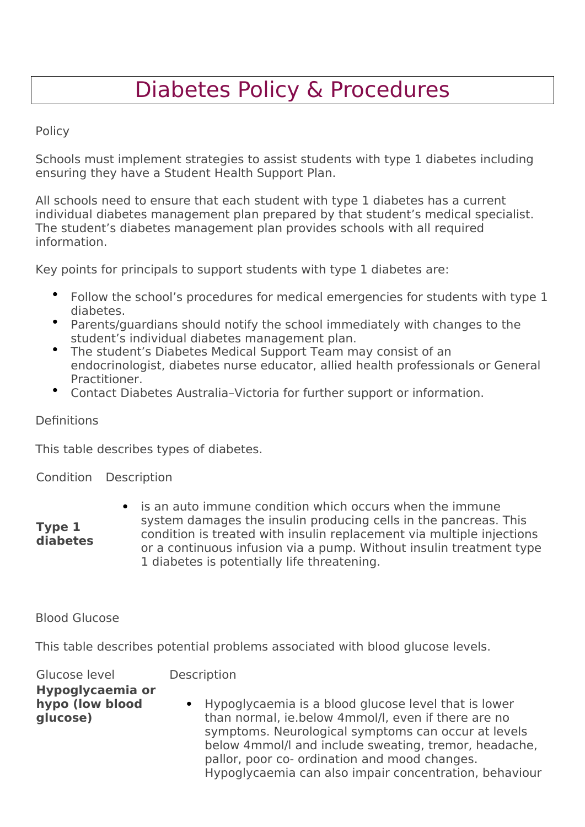# Diabetes Policy & Procedures

# Policy

Schools must implement strategies to assist students with type 1 diabetes including ensuring they have a Student Health Support Plan.

All schools need to ensure that each student with type 1 diabetes has a current individual diabetes management plan prepared by that student's medical specialist. The student's diabetes management plan provides schools with all required information.

Key points for principals to support students with type 1 diabetes are:

- Follow the school's procedures for medical emergencies for students with type 1 diabetes.
- Parents/guardians should notify the school immediately with changes to the student's individual diabetes management plan.
- The student's Diabetes Medical Support Team may consist of an endocrinologist, diabetes nurse educator, allied health professionals or General Practitioner.
- Contact Diabetes Australia–Victoria for further support or information.

# Definitions

**Type 1 diabetes**

This table describes types of diabetes.

# Condition Description

 is an auto immune condition which occurs when the immune system damages the insulin producing cells in the pancreas. This condition is treated with insulin replacement via multiple injections or a continuous infusion via a pump. Without insulin treatment type 1 diabetes is potentially life threatening.

# Blood Glucose

This table describes potential problems associated with blood glucose levels.

| Glucose level                                   | Description                                                                                                                                                                                                                                                                                                                              |
|-------------------------------------------------|------------------------------------------------------------------------------------------------------------------------------------------------------------------------------------------------------------------------------------------------------------------------------------------------------------------------------------------|
| Hypoglycaemia or<br>hypo (low blood<br>glucose) | • Hypoglycaemia is a blood glucose level that is lower<br>than normal, ie below 4mmol/l, even if there are no<br>symptoms. Neurological symptoms can occur at levels<br>below 4mmol/l and include sweating, tremor, headache,<br>pallor, poor co- ordination and mood changes.<br>Hypoglycaemia can also impair concentration, behaviour |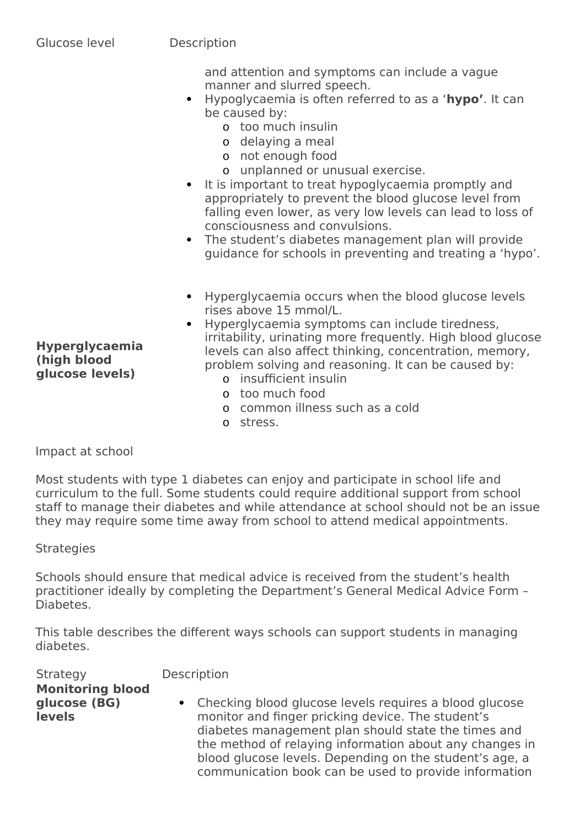and attention and symptoms can include a vague manner and slurred speech.

- Hypoglycaemia is often referred to as a '**hypo'**. It can be caused by:
	- o too much insulin
	- o delaying a meal
	- o not enough food
	- o unplanned or unusual exercise.
- It is important to treat hypoglycaemia promptly and appropriately to prevent the blood glucose level from falling even lower, as very low levels can lead to loss of consciousness and convulsions.
- The student's diabetes management plan will provide guidance for schools in preventing and treating a 'hypo'.
- Hyperglycaemia occurs when the blood glucose levels rises above 15 mmol/L.
- Hyperglycaemia symptoms can include tiredness, irritability, urinating more frequently. High blood glucose levels can also affect thinking, concentration, memory, problem solving and reasoning. It can be caused by:
	- o insufficient insulin
	- o too much food
	- o common illness such as a cold
	- o stress.

Impact at school

Most students with type 1 diabetes can enjoy and participate in school life and curriculum to the full. Some students could require additional support from school staff to manage their diabetes and while attendance at school should not be an issue they may require some time away from school to attend medical appointments.

**Strategies** 

Schools should ensure that medical advice is received from the student's health practitioner ideally by completing the Department's General Medical Advice Form – Diabetes.

This table describes the different ways schools can support students in managing diabetes.

| <b>Strategy</b>                                          | Description                                                                                                                                                                                                                                                                                                                                         |
|----------------------------------------------------------|-----------------------------------------------------------------------------------------------------------------------------------------------------------------------------------------------------------------------------------------------------------------------------------------------------------------------------------------------------|
| <b>Monitoring blood</b><br>glucose (BG)<br><b>levels</b> | • Checking blood glucose levels requires a blood glucose<br>monitor and finger pricking device. The student's<br>diabetes management plan should state the times and<br>the method of relaying information about any changes in<br>blood glucose levels. Depending on the student's age, a<br>communication book can be used to provide information |
|                                                          |                                                                                                                                                                                                                                                                                                                                                     |

**Hyperglycaemia (high blood glucose levels)**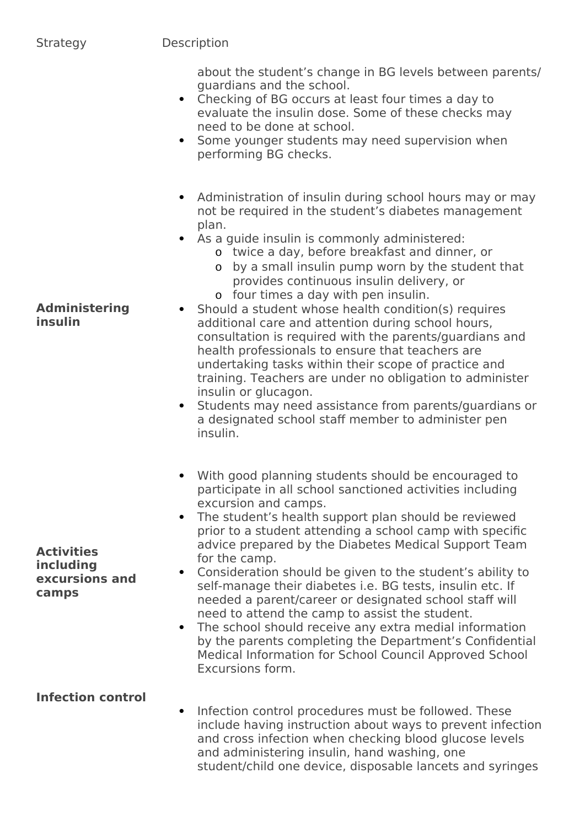#### Strategy Description

about the student's change in BG levels between parents/ guardians and the school.

- Checking of BG occurs at least four times a day to evaluate the insulin dose. Some of these checks may need to be done at school.
- Some younger students may need supervision when performing BG checks.
- Administration of insulin during school hours may or may not be required in the student's diabetes management plan.
- As a guide insulin is commonly administered:
	- o twice a day, before breakfast and dinner, or
	- o by a small insulin pump worn by the student that provides continuous insulin delivery, or
	- o four times a day with pen insulin.
- Should a student whose health condition(s) requires additional care and attention during school hours, consultation is required with the parents/guardians and health professionals to ensure that teachers are undertaking tasks within their scope of practice and training. Teachers are under no obligation to administer insulin or glucagon.
	- Students may need assistance from parents/guardians or a designated school staff member to administer pen insulin.
	- With good planning students should be encouraged to participate in all school sanctioned activities including excursion and camps.
	- The student's health support plan should be reviewed prior to a student attending a school camp with specific advice prepared by the Diabetes Medical Support Team for the camp.
	- Consideration should be given to the student's ability to self-manage their diabetes i.e. BG tests, insulin etc. If needed a parent/career or designated school staff will need to attend the camp to assist the student.
	- The school should receive any extra medial information by the parents completing the Department's Confidential Medical Information for School Council Approved School Excursions form.

# **Infection control**

 Infection control procedures must be followed. These include having instruction about ways to prevent infection and cross infection when checking blood glucose levels and administering insulin, hand washing, one student/child one device, disposable lancets and syringes

#### **Administering insulin**

**Activities including excursions and camps**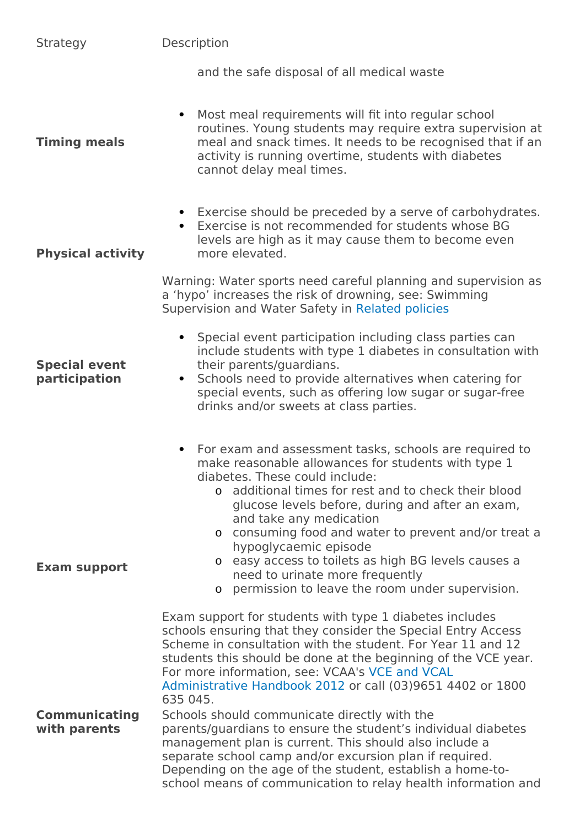| Strategy                              | Description                                                                                                                                                                                                                                                                                                                                                                                                                                                                                                                                                                                                                                                                                                                                              |
|---------------------------------------|----------------------------------------------------------------------------------------------------------------------------------------------------------------------------------------------------------------------------------------------------------------------------------------------------------------------------------------------------------------------------------------------------------------------------------------------------------------------------------------------------------------------------------------------------------------------------------------------------------------------------------------------------------------------------------------------------------------------------------------------------------|
|                                       | and the safe disposal of all medical waste                                                                                                                                                                                                                                                                                                                                                                                                                                                                                                                                                                                                                                                                                                               |
| <b>Timing meals</b>                   | Most meal requirements will fit into regular school<br>$\bullet$<br>routines. Young students may require extra supervision at<br>meal and snack times. It needs to be recognised that if an<br>activity is running overtime, students with diabetes<br>cannot delay meal times.                                                                                                                                                                                                                                                                                                                                                                                                                                                                          |
| <b>Physical activity</b>              | • Exercise should be preceded by a serve of carbohydrates.<br>Exercise is not recommended for students whose BG<br>$\bullet$<br>levels are high as it may cause them to become even<br>more elevated.                                                                                                                                                                                                                                                                                                                                                                                                                                                                                                                                                    |
|                                       | Warning: Water sports need careful planning and supervision as<br>a 'hypo' increases the risk of drowning, see: Swimming<br>Supervision and Water Safety in Related policies                                                                                                                                                                                                                                                                                                                                                                                                                                                                                                                                                                             |
| <b>Special event</b><br>participation | Special event participation including class parties can<br>$\bullet$<br>include students with type 1 diabetes in consultation with<br>their parents/guardians.<br>Schools need to provide alternatives when catering for<br>$\bullet$<br>special events, such as offering low sugar or sugar-free<br>drinks and/or sweets at class parties.                                                                                                                                                                                                                                                                                                                                                                                                              |
| <b>Exam support</b>                   | • For exam and assessment tasks, schools are required to<br>make reasonable allowances for students with type 1<br>diabetes. These could include:<br>additional times for rest and to check their blood<br>O.<br>glucose levels before, during and after an exam,<br>and take any medication<br>o consuming food and water to prevent and/or treat a<br>hypoglycaemic episode<br>o easy access to toilets as high BG levels causes a<br>need to urinate more frequently<br>o permission to leave the room under supervision.                                                                                                                                                                                                                             |
| <b>Communicating</b><br>with parents  | Exam support for students with type 1 diabetes includes<br>schools ensuring that they consider the Special Entry Access<br>Scheme in consultation with the student. For Year 11 and 12<br>students this should be done at the beginning of the VCE year.<br>For more information, see: VCAA's VCE and VCAL<br>Administrative Handbook 2012 or call (03)9651 4402 or 1800<br>635 045.<br>Schools should communicate directly with the<br>parents/guardians to ensure the student's individual diabetes<br>management plan is current. This should also include a<br>separate school camp and/or excursion plan if required.<br>Depending on the age of the student, establish a home-to-<br>school means of communication to relay health information and |